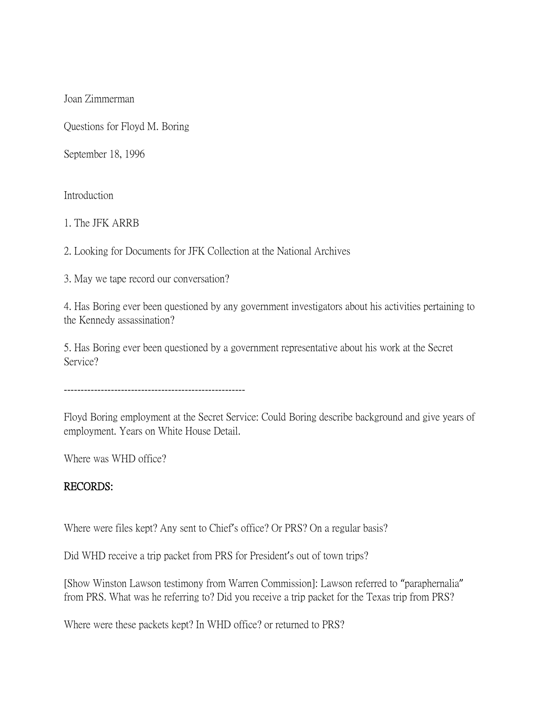Joan Zimmerman

Questions for Floyd M. Boring

September 18, 1996

Introduction

1. The JFK ARRB

2. Looking for Documents for JFK Collection at the National Archives

3. May we tape record our conversation?

4. Has Boring ever been questioned by any government investigators about his activities pertaining to the Kennedy assassination?

5. Has Boring ever been questioned by a government representative about his work at the Secret Service?

------------------------------------------------------

Floyd Boring employment at the Secret Service: Could Boring describe background and give years of employment. Years on White House Detail.

Where was WHD office?

## RECORDS:

Where were files kept? Any sent to Chief's office? Or PRS? On a regular basis?

Did WHD receive a trip packet from PRS for President's out of town trips?

[Show Winston Lawson testimony from Warren Commission]: Lawson referred to "paraphernalia" from PRS. What was he referring to? Did you receive a trip packet for the Texas trip from PRS?

Where were these packets kept? In WHD office? or returned to PRS?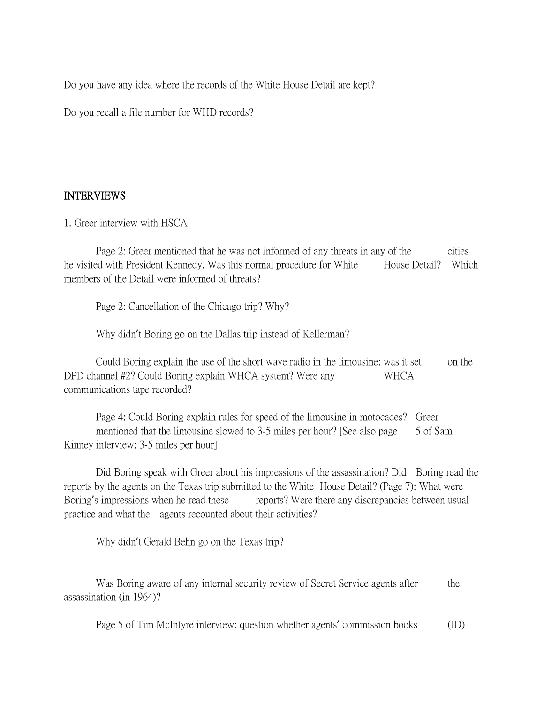Do you have any idea where the records of the White House Detail are kept?

Do you recall a file number for WHD records?

# INTERVIEWS

1. Greer interview with HSCA

Page 2: Greer mentioned that he was not informed of any threats in any of the cities he visited with President Kennedy. Was this normal procedure for White House Detail? Which members of the Detail were informed of threats?

Page 2: Cancellation of the Chicago trip? Why?

Why didn't Boring go on the Dallas trip instead of Kellerman?

Could Boring explain the use of the short wave radio in the limousine: was it set on the DPD channel #2? Could Boring explain WHCA system? Were any WHCA communications tape recorded?

Page 4: Could Boring explain rules for speed of the limousine in motocades? Greer mentioned that the limousine slowed to 3-5 miles per hour? [See also page 5 of Sam Kinney interview: 3-5 miles per hour]

Did Boring speak with Greer about his impressions of the assassination? Did Boring read the reports by the agents on the Texas trip submitted to the White House Detail? (Page 7): What were Boring's impressions when he read these reports? Were there any discrepancies between usual practice and what the agents recounted about their activities?

Why didn't Gerald Behn go on the Texas trip?

Was Boring aware of any internal security review of Secret Service agents after the assassination (in 1964)?

Page 5 of Tim McIntyre interview: question whether agents' commission books (ID)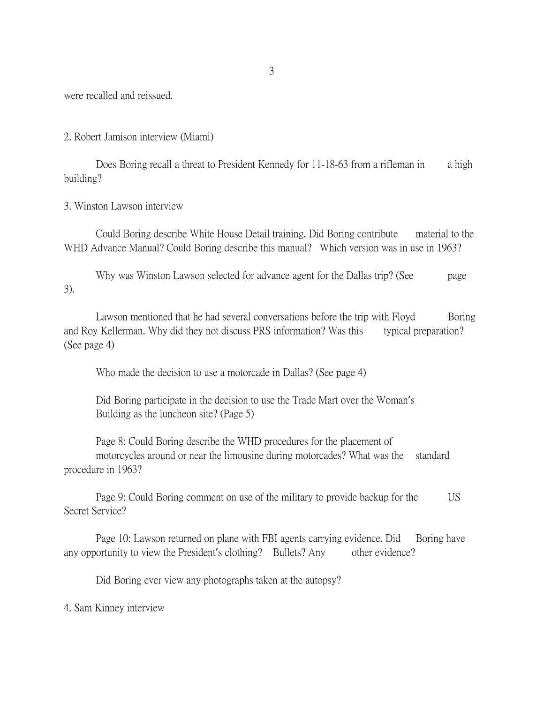were recalled and reissued.

2. Robert Jamison interview (Miami)

Does Boring recall a threat to President Kennedy for 11-18-63 from a rifleman in a high building?

3. Winston Lawson interview

Could Boring describe White House Detail training. Did Boring contribute material to the WHD Advance Manual? Could Boring describe this manual? Which version was in use in 1963?

Why was Winston Lawson selected for advance agent for the Dallas trip? (See page 3).

Lawson mentioned that he had several conversations before the trip with Floyd Boring and Roy Kellerman. Why did they not discuss PRS information? Was this typical preparation? (See page 4)

Who made the decision to use a motorcade in Dallas? (See page 4)

Did Boring participate in the decision to use the Trade Mart over the Woman's Building as the luncheon site? (Page 5)

Page 8: Could Boring describe the WHD procedures for the placement of motorcycles around or near the limousine during motorcades? What was the standard procedure in 1963?

Page 9: Could Boring comment on use of the military to provide backup for the US Secret Service?

Page 10: Lawson returned on plane with FBI agents carrying evidence. Did Boring have any opportunity to view the President's clothing? Bullets? Any other evidence?

Did Boring ever view any photographs taken at the autopsy?

4. Sam Kinney interview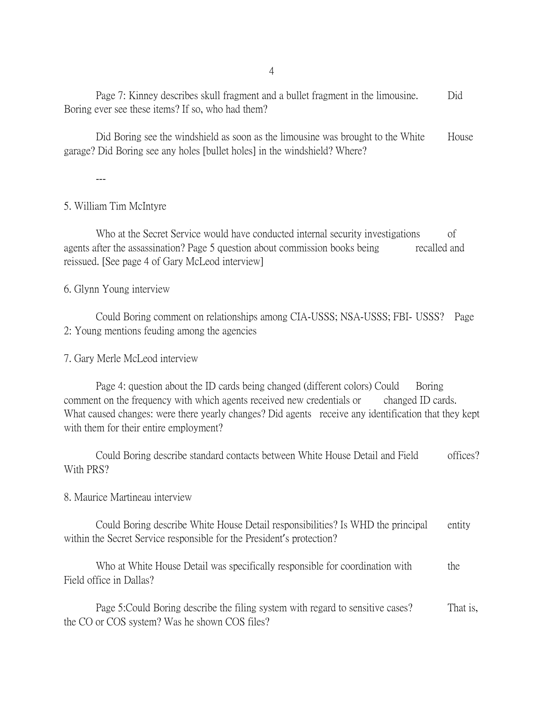4

Page 7: Kinney describes skull fragment and a bullet fragment in the limousine. Did Boring ever see these items? If so, who had them?

Did Boring see the windshield as soon as the limousine was brought to the White House garage? Did Boring see any holes [bullet holes] in the windshield? Where?

---

# 5. William Tim McIntyre

Who at the Secret Service would have conducted internal security investigations of agents after the assassination? Page 5 question about commission books being recalled and reissued. [See page 4 of Gary McLeod interview]

## 6. Glynn Young interview

Could Boring comment on relationships among CIA-USSS; NSA-USSS; FBI- USSS? Page 2: Young mentions feuding among the agencies

7. Gary Merle McLeod interview

Page 4: question about the ID cards being changed (different colors) Could Boring comment on the frequency with which agents received new credentials or changed ID cards. What caused changes: were there yearly changes? Did agents receive any identification that they kept with them for their entire employment?

Could Boring describe standard contacts between White House Detail and Field offices? With PRS?

## 8. Maurice Martineau interview

Could Boring describe White House Detail responsibilities? Is WHD the principal entity within the Secret Service responsible for the President's protection?

Who at White House Detail was specifically responsible for coordination with the Field office in Dallas?

Page 5: Could Boring describe the filing system with regard to sensitive cases? That is, the CO or COS system? Was he shown COS files?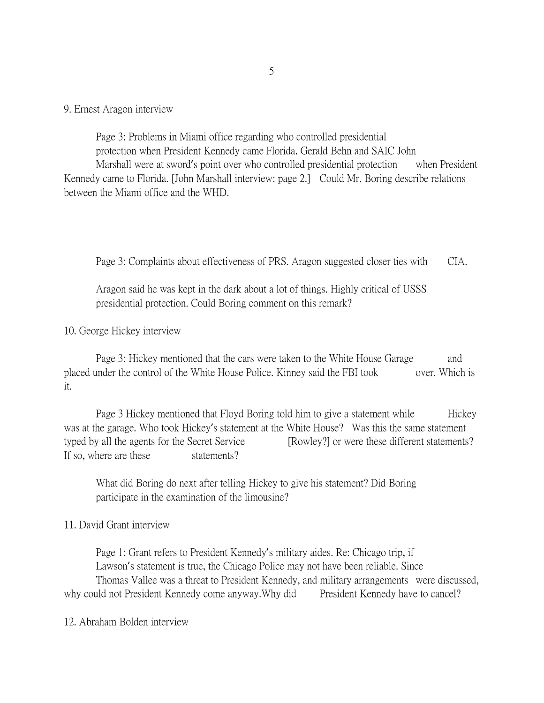9. Ernest Aragon interview

Page 3: Problems in Miami office regarding who controlled presidential protection when President Kennedy came Florida. Gerald Behn and SAIC John Marshall were at sword's point over who controlled presidential protection when President Kennedy came to Florida. [John Marshall interview: page 2.] Could Mr. Boring describe relations between the Miami office and the WHD.

Page 3: Complaints about effectiveness of PRS. Aragon suggested closer ties with CIA.

Aragon said he was kept in the dark about a lot of things. Highly critical of USSS presidential protection. Could Boring comment on this remark?

10. George Hickey interview

Page 3: Hickey mentioned that the cars were taken to the White House Garage and placed under the control of the White House Police. Kinney said the FBI took over. Which is it.

Page 3 Hickey mentioned that Floyd Boring told him to give a statement while Hickey was at the garage. Who took Hickey's statement at the White House? Was this the same statement typed by all the agents for the Secret Service [Rowley?] or were these different statements? If so, where are these statements?

What did Boring do next after telling Hickey to give his statement? Did Boring participate in the examination of the limousine?

#### 11. David Grant interview

Page 1: Grant refers to President Kennedy's military aides. Re: Chicago trip, if Lawson's statement is true, the Chicago Police may not have been reliable. Since Thomas Vallee was a threat to President Kennedy, and military arrangements were discussed, why could not President Kennedy come anyway.Why did President Kennedy have to cancel?

12. Abraham Bolden interview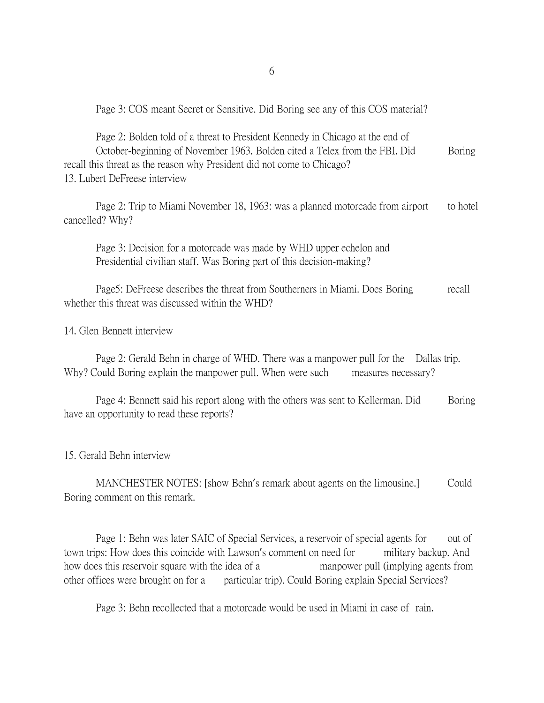Page 3: COS meant Secret or Sensitive. Did Boring see any of this COS material?

Page 2: Bolden told of a threat to President Kennedy in Chicago at the end of October-beginning of November 1963. Bolden cited a Telex from the FBI. Did Boring recall this threat as the reason why President did not come to Chicago? 13. Lubert DeFreese interview

Page 2: Trip to Miami November 18, 1963: was a planned motorcade from airport to hotel cancelled? Why?

Page 3: Decision for a motorcade was made by WHD upper echelon and Presidential civilian staff. Was Boring part of this decision-making?

Page5: DeFreese describes the threat from Southerners in Miami. Does Boring recall whether this threat was discussed within the WHD?

14. Glen Bennett interview

Page 2: Gerald Behn in charge of WHD. There was a manpower pull for the Dallas trip. Why? Could Boring explain the manpower pull. When were such measures necessary?

Page 4: Bennett said his report along with the others was sent to Kellerman. Did Boring have an opportunity to read these reports?

15. Gerald Behn interview

MANCHESTER NOTES: [show Behn's remark about agents on the limousine.] Could Boring comment on this remark.

Page 1: Behn was later SAIC of Special Services, a reservoir of special agents for out of town trips: How does this coincide with Lawson's comment on need for military backup. And how does this reservoir square with the idea of a manpower pull (implying agents from other offices were brought on for a particular trip). Could Boring explain Special Services?

Page 3: Behn recollected that a motorcade would be used in Miami in case of rain.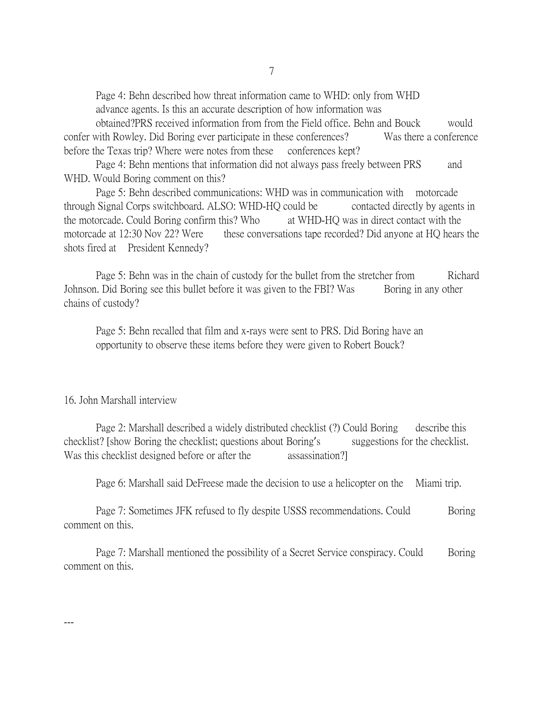Page 4: Behn described how threat information came to WHD: only from WHD advance agents. Is this an accurate description of how information was

obtained?PRS received information from from the Field office. Behn and Bouck would confer with Rowley. Did Boring ever participate in these conferences? Was there a conference before the Texas trip? Where were notes from these conferences kept?

Page 4: Behn mentions that information did not always pass freely between PRS and WHD. Would Boring comment on this?

Page 5: Behn described communications: WHD was in communication with motorcade through Signal Corps switchboard. ALSO: WHD-HQ could be contacted directly by agents in the motorcade. Could Boring confirm this? Who at WHD-HQ was in direct contact with the motorcade at 12:30 Nov 22? Were these conversations tape recorded? Did anyone at HQ hears the shots fired at President Kennedy?

Page 5: Behn was in the chain of custody for the bullet from the stretcher from Richard Johnson. Did Boring see this bullet before it was given to the FBI? Was Boring in any other chains of custody?

Page 5: Behn recalled that film and x-rays were sent to PRS. Did Boring have an opportunity to observe these items before they were given to Robert Bouck?

#### 16. John Marshall interview

---

Page 2: Marshall described a widely distributed checklist (?) Could Boring describe this checklist? [show Boring the checklist; questions about Boring's suggestions for the checklist. Was this checklist designed before or after the assassination?

Page 6: Marshall said DeFreese made the decision to use a helicopter on the Miami trip.

Page 7: Sometimes JFK refused to fly despite USSS recommendations. Could Boring comment on this.

Page 7: Marshall mentioned the possibility of a Secret Service conspiracy. Could Boring comment on this.